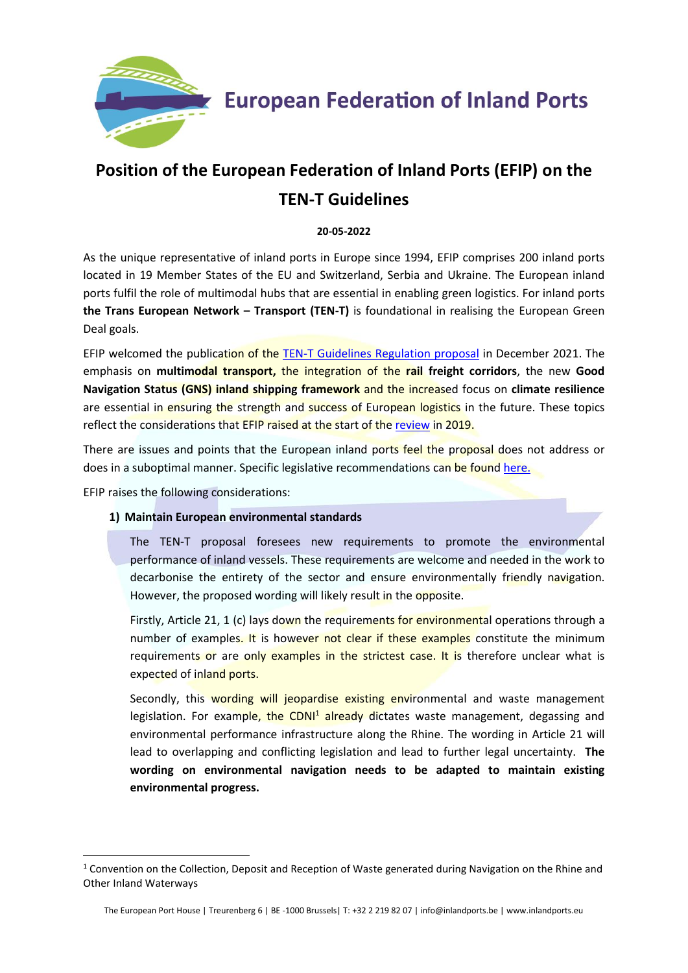

# **Position of the European Federation of Inland Ports (EFIP) on the TEN-T Guidelines**

**20-05-2022**

As the unique representative of inland ports in Europe since 1994, EFIP comprises 200 inland ports located in 19 Member States of the EU and Switzerland, Serbia and Ukraine. The European inland ports fulfil the role of multimodal hubs that are essential in enabling green logistics. For inland ports **the Trans European Network – Transport (TEN-T)** is foundational in realising the European Green Deal goals.

EFIP welcomed the publication of the [TEN-T Guidelines Regulation proposal](https://transport.ec.europa.eu/news/efficient-and-green-mobility-2021-12-14_en) in December 2021. The emphasis on **multimodal transport,** the integration of the **rail freight corridors**, the new **Good Navigation Status (GNS) inland shipping framework** and the increased focus on **climate resilience** are essential in ensuring the strength and success of European logistics in the future. These topics reflect the considerations that EFIP raised at the start of the [review](https://www.inlandports.eu/media/Position%20of%20the%20European%20Federation%20of%20Inland%20Ports%20on%20TEN-T%20Consultation_5.pdf) in 2019.

There are issues and points that the European inland ports feel the proposal does not address or does in a suboptimal manner. Specific legislative recommendations can be found [here.](https://www.inlandports.eu/media/Legislative%20recommendations%20EFIP%20on%20TEN-T_4.pdf)

EFIP raises the following considerations:

### **1) Maintain European environmental standards**

The TEN-T proposal foresees new requirements to promote the environmental performance of inland vessels. These requirements are welcome and needed in the work to decarbonise the entirety of the sector and ensure environmentally friendly navigation. However, the proposed wording will likely result in the opposite.

Firstly, Article 21, 1 (c) lays down the requirements for environmental operations through a number of examples. It is however not clear if these examples constitute the minimum requirements or are only examples in the strictest case. It is therefore unclear what is expected of inland ports.

Secondly, this wording will jeopardise existing environmental and waste management legislation. For example, the CDNI<sup>1</sup> already dictates waste management, degassing and environmental performance infrastructure along the Rhine. The wording in Article 21 will lead to overlapping and conflicting legislation and lead to further legal uncertainty. **The wording on environmental navigation needs to be adapted to maintain existing environmental progress.**

 $1$  Convention on the Collection, Deposit and Reception of Waste generated during Navigation on the Rhine and Other Inland Waterways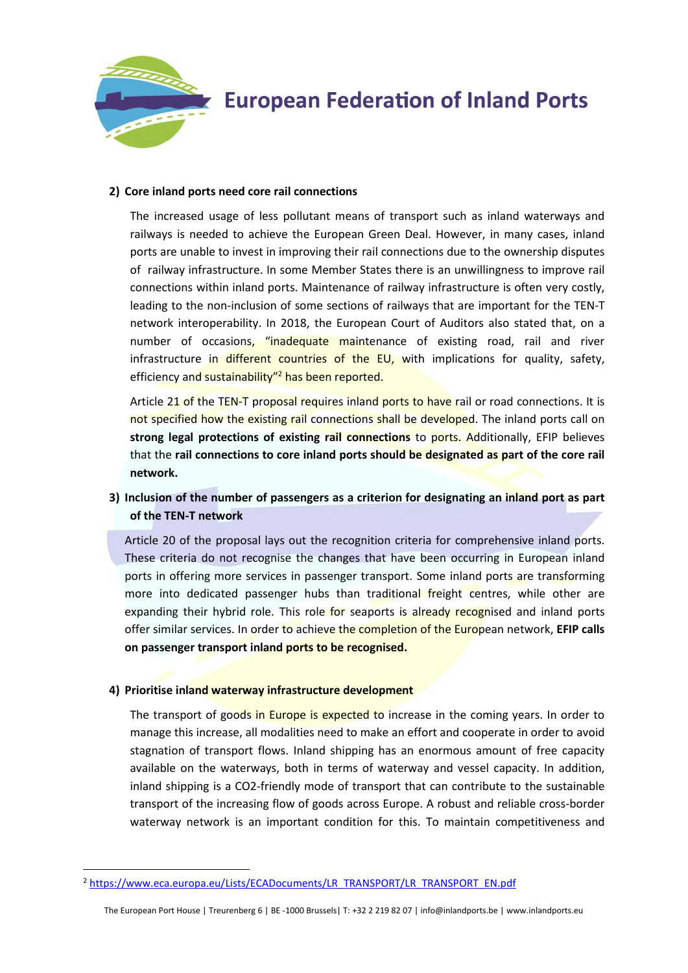

#### **2) Core inland ports need core rail connections**

The increased usage of less pollutant means of transport such as inland waterways and railways is needed to achieve the European Green Deal. However, in many cases, inland ports are unable to invest in improving their rail connections due to the ownership disputes of railway infrastructure. In some Member States there is an unwillingness to improve rail connections within inland ports. Maintenance of railway infrastructure is often very costly, leading to the non-inclusion of some sections of railways that are important for the TEN-T network interoperability. In 2018, the European Court of Auditors also stated that, on a number of occasions, "inadequate maintenance of existing road, rail and river infrastructure in different countries of the EU, with implications for quality, safety, efficiency and sustainability"<sup>2</sup> has been reported.

Article 21 of the TEN-T proposal requires inland ports to have rail or road connections. It is not specified how the existing rail connections shall be developed. The inland ports call on **strong legal protections of existing rail connections** to ports. Additionally, EFIP believes that the **rail connections to core inland ports should be designated as part of the core rail network.** 

### **3) Inclusion of the number of passengers as a criterion for designating an inland port as part of the TEN-T network**

Article 20 of the proposal lays out the recognition criteria for comprehensive inland ports. These criteria do not recognise the changes that have been occurring in European inland ports in offering more services in passenger transport. Some inland ports are transforming more into dedicated passenger hubs than traditional freight centres, while other are expanding their hybrid role. This role for seaports is already recognised and inland ports offer similar services. In order to achieve the completion of the European network, **EFIP calls on passenger transport inland ports to be recognised.** 

#### **4) Prioritise inland waterway infrastructure development**

The transport of goods in Europe is expected to increase in the coming years. In order to manage this increase, all modalities need to make an effort and cooperate in order to avoid stagnation of transport flows. Inland shipping has an enormous amount of free capacity available on the waterways, both in terms of waterway and vessel capacity. In addition, inland shipping is a CO2-friendly mode of transport that can contribute to the sustainable transport of the increasing flow of goods across Europe. A robust and reliable cross-border waterway network is an important condition for this. To maintain competitiveness and

<sup>2</sup> [https://www.eca.europa.eu/Lists/ECADocuments/LR\\_TRANSPORT/LR\\_TRANSPORT\\_EN.pdf](https://www.eca.europa.eu/Lists/ECADocuments/LR_TRANSPORT/LR_TRANSPORT_EN.pdf)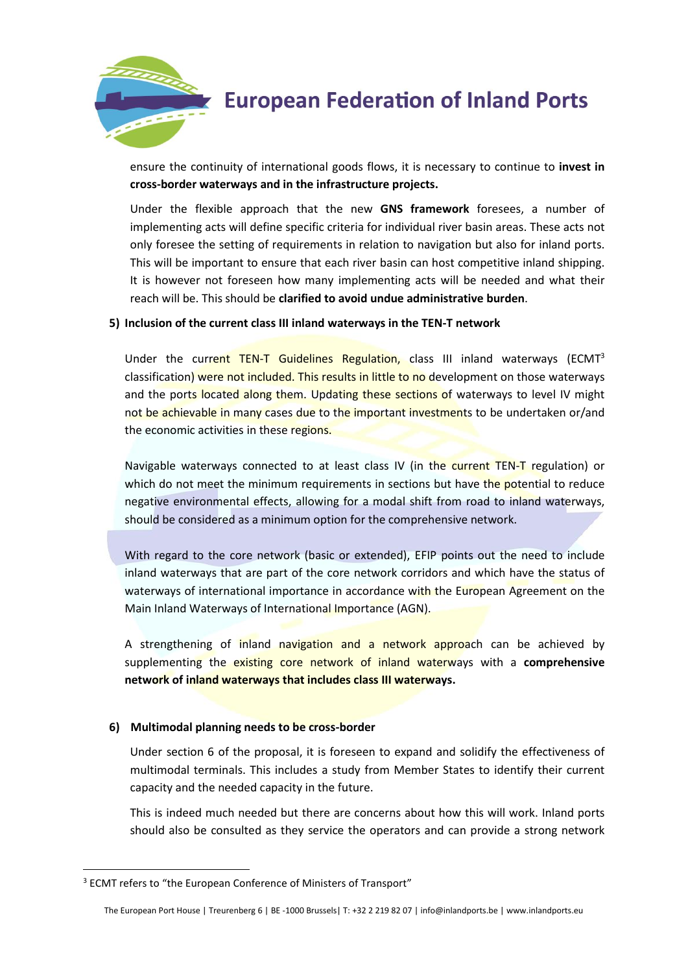

ensure the continuity of international goods flows, it is necessary to continue to **invest in cross-border waterways and in the infrastructure projects.**

Under the flexible approach that the new **GNS framework** foresees, a number of implementing acts will define specific criteria for individual river basin areas. These acts not only foresee the setting of requirements in relation to navigation but also for inland ports. This will be important to ensure that each river basin can host competitive inland shipping. It is however not foreseen how many implementing acts will be needed and what their reach will be. This should be **clarified to avoid undue administrative burden**.

#### **5) Inclusion of the current class III inland waterways in the TEN-T network**

Under the current TEN-T Guidelines Regulation, class III inland waterways (ECMT<sup>3</sup> classification) were not included. This results in little to no development on those waterways and the ports located along them. Updating these sections of waterways to level IV might not be achievable in many cases due to the important investments to be undertaken or/and the economic activities in these regions.

Navigable waterways connected to at least class IV (in the current TEN-T regulation) or which do not meet the minimum requirements in sections but have the potential to reduce negative environmental effects, allowing for a modal shift from road to inland waterways, should be considered as a minimum option for the comprehensive network.

With regard to the core network (basic or extended), EFIP points out the need to include inland waterways that are part of the core network corridors and which have the status of waterways of international importance in accordance with the European Agreement on the Main Inland Waterways of International Importance (AGN).

A strengthening of inland navigation and a network approach can be achieved by supplementing the existing core network of inland waterways with a **comprehensive network of inland waterways that includes class III waterways.** 

### **6) Multimodal planning needs to be cross-border**

Under section 6 of the proposal, it is foreseen to expand and solidify the effectiveness of multimodal terminals. This includes a study from Member States to identify their current capacity and the needed capacity in the future.

This is indeed much needed but there are concerns about how this will work. Inland ports should also be consulted as they service the operators and can provide a strong network

<sup>&</sup>lt;sup>3</sup> ECMT refers to "the European Conference of Ministers of Transport"

The European Port House | Treurenberg 6 | BE -1000 Brussels| T: +32 2 219 82 07 | info@inlandports.be | www.inlandports.eu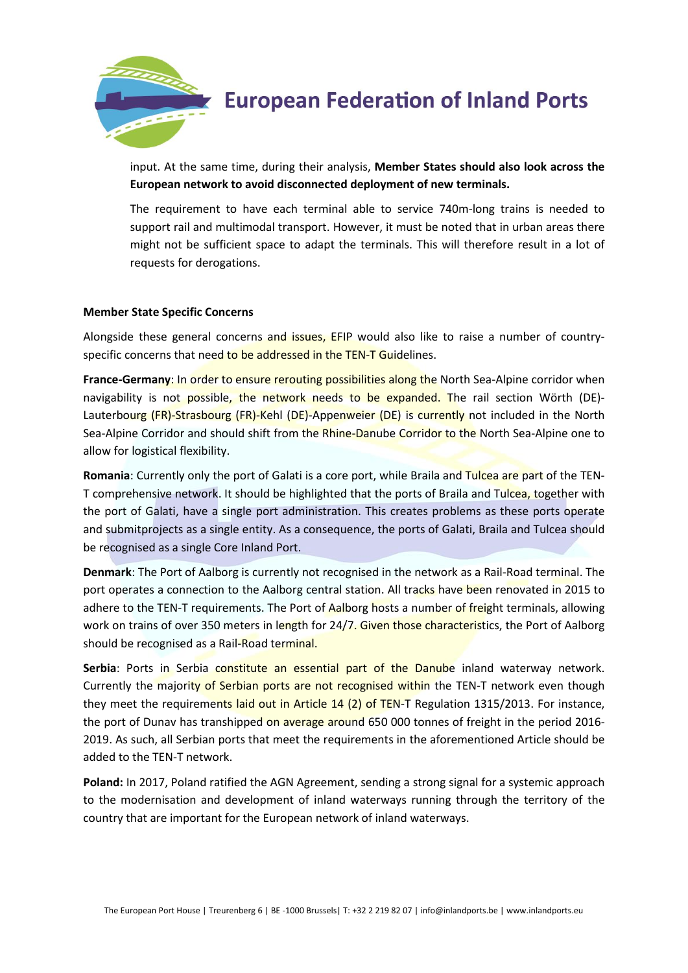

input. At the same time, during their analysis, **Member States should also look across the European network to avoid disconnected deployment of new terminals.**

The requirement to have each terminal able to service 740m-long trains is needed to support rail and multimodal transport. However, it must be noted that in urban areas there might not be sufficient space to adapt the terminals. This will therefore result in a lot of requests for derogations.

#### **Member State Specific Concerns**

Alongside these general concerns and issues, EFIP would also like to raise a number of countryspecific concerns that need to be addressed in the TEN-T Guidelines.

**France-Germany:** In order to ensure rerouting possibilities along the North Sea-Alpine corridor when navigability is not possible, the network needs to be expanded. The rail section Wörth (DE)-Lauterbourg (FR)-Strasbourg (FR)-Kehl (DE)-Appenweier (DE) is currently not included in the North Sea-Alpine Corridor and should shift from the Rhine-Danube Corridor to the North Sea-Alpine one to allow for logistical flexibility.

**Romania**: Currently only the port of Galati is a core port, while Braila and Tulcea are part of the TEN-T comprehensive network. It should be highlighted that the ports of Braila and Tulcea, together with the port of Galati, have a single port administration. This creates problems as these ports operate and submitprojects as a single entity. As a consequence, the ports of Galati, Braila and Tulcea should be recognised as a single Core Inland Port.

**Denmark**: The Port of Aalborg is currently not recognised in the network as a Rail-Road terminal. The port operates a connection to the Aalborg central station. All tracks have been renovated in 2015 to adhere to the TEN-T requirements. The Port of Aalborg hosts a number of freight terminals, allowing work on trains of over 350 meters in length for 24/7. Given those characteristics, the Port of Aalborg should be recognised as a Rail-Road terminal.

Serbia: Ports in Serbia constitute an essential part of the Danube inland waterway network. Currently the majority of Serbian ports are not recognised within the TEN-T network even though they meet the requirements laid out in Article 14 (2) of TEN-T Regulation 1315/2013. For instance, the port of Dunav has transhipped on average around 650 000 tonnes of freight in the period 2016-2019. As such, all Serbian ports that meet the requirements in the aforementioned Article should be added to the TEN-T network.

**Poland:** In 2017, Poland ratified the AGN Agreement, sending a strong signal for a systemic approach to the modernisation and development of inland waterways running through the territory of the country that are important for the European network of inland waterways.